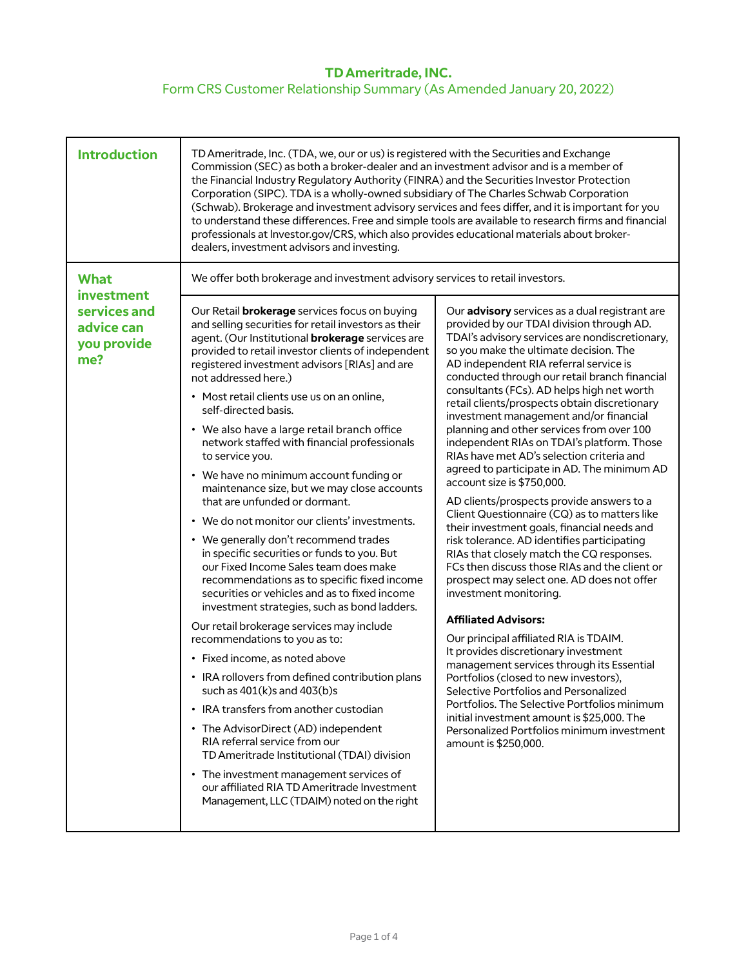## **TD Ameritrade, INC.**  Form CRS Customer Relationship Summary (As Amended January 20, 2022)

| <b>Introduction</b>                                     | TD Ameritrade, Inc. (TDA, we, our or us) is registered with the Securities and Exchange<br>Commission (SEC) as both a broker-dealer and an investment advisor and is a member of<br>the Financial Industry Regulatory Authority (FINRA) and the Securities Investor Protection<br>Corporation (SIPC). TDA is a wholly-owned subsidiary of The Charles Schwab Corporation<br>(Schwab). Brokerage and investment advisory services and fees differ, and it is important for you<br>to understand these differences. Free and simple tools are available to research firms and financial<br>professionals at Investor.gov/CRS, which also provides educational materials about broker-<br>dealers, investment advisors and investing. |                                                                                                                                                                                                                                                                                                                                                                                                                                                                                                                                                                                                                                                                                                                                                                                                                                                                                                                                                                                                                                                                                                                                                                                                                                                                                      |
|---------------------------------------------------------|------------------------------------------------------------------------------------------------------------------------------------------------------------------------------------------------------------------------------------------------------------------------------------------------------------------------------------------------------------------------------------------------------------------------------------------------------------------------------------------------------------------------------------------------------------------------------------------------------------------------------------------------------------------------------------------------------------------------------------|--------------------------------------------------------------------------------------------------------------------------------------------------------------------------------------------------------------------------------------------------------------------------------------------------------------------------------------------------------------------------------------------------------------------------------------------------------------------------------------------------------------------------------------------------------------------------------------------------------------------------------------------------------------------------------------------------------------------------------------------------------------------------------------------------------------------------------------------------------------------------------------------------------------------------------------------------------------------------------------------------------------------------------------------------------------------------------------------------------------------------------------------------------------------------------------------------------------------------------------------------------------------------------------|
| <b>What</b><br>investment<br>services and<br>advice can | We offer both brokerage and investment advisory services to retail investors.<br>Our Retail <b>brokerage</b> services focus on buying<br>and selling securities for retail investors as their<br>agent. (Our Institutional <b>brokerage</b> services are                                                                                                                                                                                                                                                                                                                                                                                                                                                                           | Our advisory services as a dual registrant are<br>provided by our TDAI division through AD.<br>TDAI's advisory services are nondiscretionary,                                                                                                                                                                                                                                                                                                                                                                                                                                                                                                                                                                                                                                                                                                                                                                                                                                                                                                                                                                                                                                                                                                                                        |
| you provide<br>me?                                      | provided to retail investor clients of independent<br>registered investment advisors [RIAs] and are<br>not addressed here.)<br>• Most retail clients use us on an online,                                                                                                                                                                                                                                                                                                                                                                                                                                                                                                                                                          | so you make the ultimate decision. The<br>AD independent RIA referral service is<br>conducted through our retail branch financial<br>consultants (FCs). AD helps high net worth<br>retail clients/prospects obtain discretionary<br>investment management and/or financial<br>planning and other services from over 100<br>independent RIAs on TDAI's platform. Those<br>RIAs have met AD's selection criteria and<br>agreed to participate in AD. The minimum AD<br>account size is \$750,000.<br>AD clients/prospects provide answers to a<br>Client Questionnaire (CQ) as to matters like<br>their investment goals, financial needs and<br>risk tolerance. AD identifies participating<br>RIAs that closely match the CQ responses.<br>FCs then discuss those RIAs and the client or<br>prospect may select one. AD does not offer<br>investment monitoring.<br><b>Affiliated Advisors:</b><br>Our principal affiliated RIA is TDAIM.<br>It provides discretionary investment<br>management services through its Essential<br>Portfolios (closed to new investors),<br>Selective Portfolios and Personalized<br>Portfolios. The Selective Portfolios minimum<br>initial investment amount is \$25,000. The<br>Personalized Portfolios minimum investment<br>amount is \$250,000. |
|                                                         | self-directed basis.<br>• We also have a large retail branch office<br>network staffed with financial professionals                                                                                                                                                                                                                                                                                                                                                                                                                                                                                                                                                                                                                |                                                                                                                                                                                                                                                                                                                                                                                                                                                                                                                                                                                                                                                                                                                                                                                                                                                                                                                                                                                                                                                                                                                                                                                                                                                                                      |
|                                                         | to service you.<br>• We have no minimum account funding or<br>maintenance size, but we may close accounts                                                                                                                                                                                                                                                                                                                                                                                                                                                                                                                                                                                                                          |                                                                                                                                                                                                                                                                                                                                                                                                                                                                                                                                                                                                                                                                                                                                                                                                                                                                                                                                                                                                                                                                                                                                                                                                                                                                                      |
|                                                         | that are unfunded or dormant.<br>• We do not monitor our clients' investments.<br>• We generally don't recommend trades<br>in specific securities or funds to you. But                                                                                                                                                                                                                                                                                                                                                                                                                                                                                                                                                             |                                                                                                                                                                                                                                                                                                                                                                                                                                                                                                                                                                                                                                                                                                                                                                                                                                                                                                                                                                                                                                                                                                                                                                                                                                                                                      |
|                                                         | our Fixed Income Sales team does make<br>recommendations as to specific fixed income<br>securities or vehicles and as to fixed income<br>investment strategies, such as bond ladders.                                                                                                                                                                                                                                                                                                                                                                                                                                                                                                                                              |                                                                                                                                                                                                                                                                                                                                                                                                                                                                                                                                                                                                                                                                                                                                                                                                                                                                                                                                                                                                                                                                                                                                                                                                                                                                                      |
|                                                         | Our retail brokerage services may include<br>recommendations to you as to:                                                                                                                                                                                                                                                                                                                                                                                                                                                                                                                                                                                                                                                         |                                                                                                                                                                                                                                                                                                                                                                                                                                                                                                                                                                                                                                                                                                                                                                                                                                                                                                                                                                                                                                                                                                                                                                                                                                                                                      |
|                                                         | • Fixed income, as noted above<br>• IRA rollovers from defined contribution plans<br>such as $401(k)s$ and $403(b)s$                                                                                                                                                                                                                                                                                                                                                                                                                                                                                                                                                                                                               |                                                                                                                                                                                                                                                                                                                                                                                                                                                                                                                                                                                                                                                                                                                                                                                                                                                                                                                                                                                                                                                                                                                                                                                                                                                                                      |
|                                                         | • IRA transfers from another custodian<br>• The AdvisorDirect (AD) independent<br>RIA referral service from our<br>TD Ameritrade Institutional (TDAI) division                                                                                                                                                                                                                                                                                                                                                                                                                                                                                                                                                                     |                                                                                                                                                                                                                                                                                                                                                                                                                                                                                                                                                                                                                                                                                                                                                                                                                                                                                                                                                                                                                                                                                                                                                                                                                                                                                      |
|                                                         | • The investment management services of<br>our affiliated RIA TD Ameritrade Investment<br>Management, LLC (TDAIM) noted on the right                                                                                                                                                                                                                                                                                                                                                                                                                                                                                                                                                                                               |                                                                                                                                                                                                                                                                                                                                                                                                                                                                                                                                                                                                                                                                                                                                                                                                                                                                                                                                                                                                                                                                                                                                                                                                                                                                                      |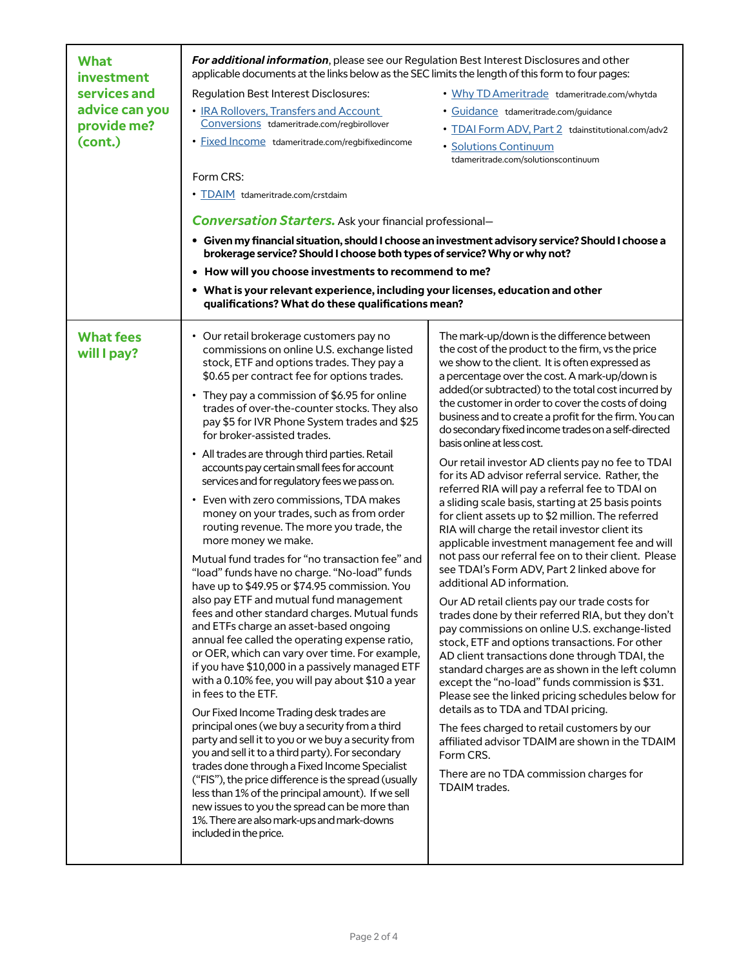| <b>What</b><br>investment       | For additional information, please see our Regulation Best Interest Disclosures and other<br>applicable documents at the links below as the SEC limits the length of this form to four pages:                                                                                                                                                                                                                                                                                                                                                                                                                                                                                                                                                                                                                                                                                                                                                                                                                                                                                                                                                                                                                                                                                                                                                                                                                                                                                                                                                                                                                                                                                                          |                                                                                                                                                                                                                                                                                                                                                                                                                                                                                                                                                                                                                                                                                                                                                                                                                                                                                                                                                                                                                                                                                                                                                                                                                                                                                                                                                                                                                                                                                                                                                                                                                      |  |
|---------------------------------|--------------------------------------------------------------------------------------------------------------------------------------------------------------------------------------------------------------------------------------------------------------------------------------------------------------------------------------------------------------------------------------------------------------------------------------------------------------------------------------------------------------------------------------------------------------------------------------------------------------------------------------------------------------------------------------------------------------------------------------------------------------------------------------------------------------------------------------------------------------------------------------------------------------------------------------------------------------------------------------------------------------------------------------------------------------------------------------------------------------------------------------------------------------------------------------------------------------------------------------------------------------------------------------------------------------------------------------------------------------------------------------------------------------------------------------------------------------------------------------------------------------------------------------------------------------------------------------------------------------------------------------------------------------------------------------------------------|----------------------------------------------------------------------------------------------------------------------------------------------------------------------------------------------------------------------------------------------------------------------------------------------------------------------------------------------------------------------------------------------------------------------------------------------------------------------------------------------------------------------------------------------------------------------------------------------------------------------------------------------------------------------------------------------------------------------------------------------------------------------------------------------------------------------------------------------------------------------------------------------------------------------------------------------------------------------------------------------------------------------------------------------------------------------------------------------------------------------------------------------------------------------------------------------------------------------------------------------------------------------------------------------------------------------------------------------------------------------------------------------------------------------------------------------------------------------------------------------------------------------------------------------------------------------------------------------------------------------|--|
| services and                    | Regulation Best Interest Disclosures:                                                                                                                                                                                                                                                                                                                                                                                                                                                                                                                                                                                                                                                                                                                                                                                                                                                                                                                                                                                                                                                                                                                                                                                                                                                                                                                                                                                                                                                                                                                                                                                                                                                                  | . Why TD Ameritrade tdameritrade.com/whytda                                                                                                                                                                                                                                                                                                                                                                                                                                                                                                                                                                                                                                                                                                                                                                                                                                                                                                                                                                                                                                                                                                                                                                                                                                                                                                                                                                                                                                                                                                                                                                          |  |
| advice can you                  | • IRA Rollovers, Transfers and Account                                                                                                                                                                                                                                                                                                                                                                                                                                                                                                                                                                                                                                                                                                                                                                                                                                                                                                                                                                                                                                                                                                                                                                                                                                                                                                                                                                                                                                                                                                                                                                                                                                                                 | · Guidance tdameritrade.com/guidance                                                                                                                                                                                                                                                                                                                                                                                                                                                                                                                                                                                                                                                                                                                                                                                                                                                                                                                                                                                                                                                                                                                                                                                                                                                                                                                                                                                                                                                                                                                                                                                 |  |
| provide me?                     | Conversions tdameritrade.com/regbirollover                                                                                                                                                                                                                                                                                                                                                                                                                                                                                                                                                                                                                                                                                                                                                                                                                                                                                                                                                                                                                                                                                                                                                                                                                                                                                                                                                                                                                                                                                                                                                                                                                                                             | • TDAI Form ADV, Part 2 tdainstitutional.com/adv2                                                                                                                                                                                                                                                                                                                                                                                                                                                                                                                                                                                                                                                                                                                                                                                                                                                                                                                                                                                                                                                                                                                                                                                                                                                                                                                                                                                                                                                                                                                                                                    |  |
| (cont.)                         | · Fixed Income tdameritrade.com/regbifixedincome                                                                                                                                                                                                                                                                                                                                                                                                                                                                                                                                                                                                                                                                                                                                                                                                                                                                                                                                                                                                                                                                                                                                                                                                                                                                                                                                                                                                                                                                                                                                                                                                                                                       | · Solutions Continuum<br>tdameritrade.com/solutionscontinuum                                                                                                                                                                                                                                                                                                                                                                                                                                                                                                                                                                                                                                                                                                                                                                                                                                                                                                                                                                                                                                                                                                                                                                                                                                                                                                                                                                                                                                                                                                                                                         |  |
|                                 | Form CRS:                                                                                                                                                                                                                                                                                                                                                                                                                                                                                                                                                                                                                                                                                                                                                                                                                                                                                                                                                                                                                                                                                                                                                                                                                                                                                                                                                                                                                                                                                                                                                                                                                                                                                              |                                                                                                                                                                                                                                                                                                                                                                                                                                                                                                                                                                                                                                                                                                                                                                                                                                                                                                                                                                                                                                                                                                                                                                                                                                                                                                                                                                                                                                                                                                                                                                                                                      |  |
|                                 | • TDAIM tdameritrade.com/crstdaim                                                                                                                                                                                                                                                                                                                                                                                                                                                                                                                                                                                                                                                                                                                                                                                                                                                                                                                                                                                                                                                                                                                                                                                                                                                                                                                                                                                                                                                                                                                                                                                                                                                                      |                                                                                                                                                                                                                                                                                                                                                                                                                                                                                                                                                                                                                                                                                                                                                                                                                                                                                                                                                                                                                                                                                                                                                                                                                                                                                                                                                                                                                                                                                                                                                                                                                      |  |
|                                 | <b>Conversation Starters.</b> Ask your financial professional-                                                                                                                                                                                                                                                                                                                                                                                                                                                                                                                                                                                                                                                                                                                                                                                                                                                                                                                                                                                                                                                                                                                                                                                                                                                                                                                                                                                                                                                                                                                                                                                                                                         |                                                                                                                                                                                                                                                                                                                                                                                                                                                                                                                                                                                                                                                                                                                                                                                                                                                                                                                                                                                                                                                                                                                                                                                                                                                                                                                                                                                                                                                                                                                                                                                                                      |  |
|                                 | brokerage service? Should I choose both types of service? Why or why not?                                                                                                                                                                                                                                                                                                                                                                                                                                                                                                                                                                                                                                                                                                                                                                                                                                                                                                                                                                                                                                                                                                                                                                                                                                                                                                                                                                                                                                                                                                                                                                                                                              | · Given my financial situation, should I choose an investment advisory service? Should I choose a                                                                                                                                                                                                                                                                                                                                                                                                                                                                                                                                                                                                                                                                                                                                                                                                                                                                                                                                                                                                                                                                                                                                                                                                                                                                                                                                                                                                                                                                                                                    |  |
|                                 | • How will you choose investments to recommend to me?                                                                                                                                                                                                                                                                                                                                                                                                                                                                                                                                                                                                                                                                                                                                                                                                                                                                                                                                                                                                                                                                                                                                                                                                                                                                                                                                                                                                                                                                                                                                                                                                                                                  |                                                                                                                                                                                                                                                                                                                                                                                                                                                                                                                                                                                                                                                                                                                                                                                                                                                                                                                                                                                                                                                                                                                                                                                                                                                                                                                                                                                                                                                                                                                                                                                                                      |  |
|                                 | • What is your relevant experience, including your licenses, education and other<br>qualifications? What do these qualifications mean?                                                                                                                                                                                                                                                                                                                                                                                                                                                                                                                                                                                                                                                                                                                                                                                                                                                                                                                                                                                                                                                                                                                                                                                                                                                                                                                                                                                                                                                                                                                                                                 |                                                                                                                                                                                                                                                                                                                                                                                                                                                                                                                                                                                                                                                                                                                                                                                                                                                                                                                                                                                                                                                                                                                                                                                                                                                                                                                                                                                                                                                                                                                                                                                                                      |  |
| <b>What fees</b><br>will I pay? | • Our retail brokerage customers pay no<br>commissions on online U.S. exchange listed<br>stock, ETF and options trades. They pay a<br>\$0.65 per contract fee for options trades.<br>• They pay a commission of \$6.95 for online<br>trades of over-the-counter stocks. They also<br>pay \$5 for IVR Phone System trades and \$25<br>for broker-assisted trades.<br>• All trades are through third parties. Retail<br>accounts pay certain small fees for account<br>services and for regulatory fees we pass on.<br>• Even with zero commissions, TDA makes<br>money on your trades, such as from order<br>routing revenue. The more you trade, the<br>more money we make.<br>Mutual fund trades for "no transaction fee" and<br>"load" funds have no charge. "No-load" funds<br>have up to \$49.95 or \$74.95 commission. You<br>also pay ETF and mutual fund management<br>fees and other standard charges. Mutual funds<br>and ETFs charge an asset-based ongoing<br>annual fee called the operating expense ratio,<br>or OER, which can vary over time. For example,<br>if you have \$10,000 in a passively managed ETF<br>with a 0.10% fee, you will pay about \$10 a year<br>in fees to the ETF.<br>Our Fixed Income Trading desk trades are<br>principal ones (we buy a security from a third<br>party and sell it to you or we buy a security from<br>you and sell it to a third party). For secondary<br>trades done through a Fixed Income Specialist<br>("FIS"), the price difference is the spread (usually<br>less than 1% of the principal amount). If we sell<br>new issues to you the spread can be more than<br>1%. There are also mark-ups and mark-downs<br>included in the price. | The mark-up/down is the difference between<br>the cost of the product to the firm, vs the price<br>we show to the client. It is often expressed as<br>a percentage over the cost. A mark-up/down is<br>added(or subtracted) to the total cost incurred by<br>the customer in order to cover the costs of doing<br>business and to create a profit for the firm. You can<br>do secondary fixed income trades on a self-directed<br>basis online at less cost.<br>Our retail investor AD clients pay no fee to TDAI<br>for its AD advisor referral service. Rather, the<br>referred RIA will pay a referral fee to TDAI on<br>a sliding scale basis, starting at 25 basis points<br>for client assets up to \$2 million. The referred<br>RIA will charge the retail investor client its<br>applicable investment management fee and will<br>not pass our referral fee on to their client. Please<br>see TDAI's Form ADV, Part 2 linked above for<br>additional AD information.<br>Our AD retail clients pay our trade costs for<br>trades done by their referred RIA, but they don't<br>pay commissions on online U.S. exchange-listed<br>stock, ETF and options transactions. For other<br>AD client transactions done through TDAI, the<br>standard charges are as shown in the left column<br>except the "no-load" funds commission is \$31.<br>Please see the linked pricing schedules below for<br>details as to TDA and TDAI pricing.<br>The fees charged to retail customers by our<br>affiliated advisor TDAIM are shown in the TDAIM<br>Form CRS.<br>There are no TDA commission charges for<br>TDAIM trades. |  |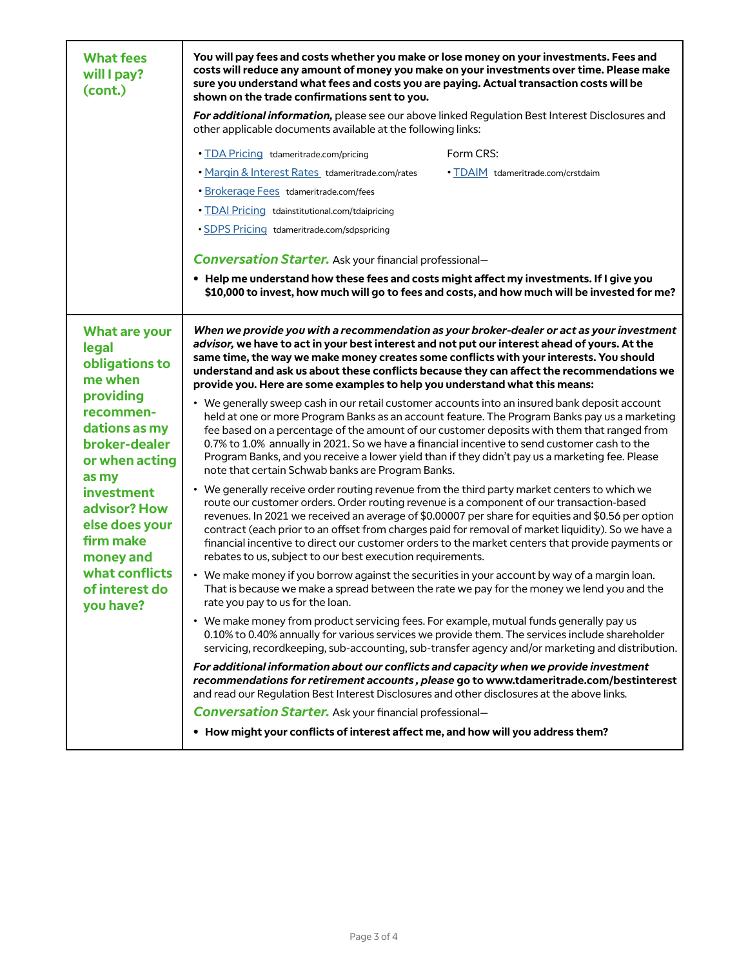| <b>What fees</b><br>will I pay?<br>(cont.)                                                                                                                                                                                                                            | You will pay fees and costs whether you make or lose money on your investments. Fees and<br>costs will reduce any amount of money you make on your investments over time. Please make<br>sure you understand what fees and costs you are paying. Actual transaction costs will be<br>shown on the trade confirmations sent to you.                                                                                                                                                                                                                                     |  |
|-----------------------------------------------------------------------------------------------------------------------------------------------------------------------------------------------------------------------------------------------------------------------|------------------------------------------------------------------------------------------------------------------------------------------------------------------------------------------------------------------------------------------------------------------------------------------------------------------------------------------------------------------------------------------------------------------------------------------------------------------------------------------------------------------------------------------------------------------------|--|
|                                                                                                                                                                                                                                                                       | For additional information, please see our above linked Regulation Best Interest Disclosures and<br>other applicable documents available at the following links:                                                                                                                                                                                                                                                                                                                                                                                                       |  |
|                                                                                                                                                                                                                                                                       | Form CRS:<br>. TDA Pricing tdameritrade.com/pricing                                                                                                                                                                                                                                                                                                                                                                                                                                                                                                                    |  |
|                                                                                                                                                                                                                                                                       | . Margin & Interest Rates_tdameritrade.com/rates<br>• TDAIM tdameritrade.com/crstdaim                                                                                                                                                                                                                                                                                                                                                                                                                                                                                  |  |
|                                                                                                                                                                                                                                                                       | • Brokerage Fees tdameritrade.com/fees                                                                                                                                                                                                                                                                                                                                                                                                                                                                                                                                 |  |
|                                                                                                                                                                                                                                                                       | . TDAI Pricing tdainstitutional.com/tdaipricing                                                                                                                                                                                                                                                                                                                                                                                                                                                                                                                        |  |
|                                                                                                                                                                                                                                                                       | · SDPS Pricing tdameritrade.com/sdpspricing                                                                                                                                                                                                                                                                                                                                                                                                                                                                                                                            |  |
|                                                                                                                                                                                                                                                                       | <b>Conversation Starter.</b> Ask your financial professional-                                                                                                                                                                                                                                                                                                                                                                                                                                                                                                          |  |
|                                                                                                                                                                                                                                                                       | . Help me understand how these fees and costs might affect my investments. If I give you                                                                                                                                                                                                                                                                                                                                                                                                                                                                               |  |
|                                                                                                                                                                                                                                                                       | \$10,000 to invest, how much will go to fees and costs, and how much will be invested for me?                                                                                                                                                                                                                                                                                                                                                                                                                                                                          |  |
| What are your<br>legal<br>obligations to<br>me when<br>providing<br>recommen-<br>dations as my<br>broker-dealer<br>or when acting<br>as my<br>investment<br>advisor? How<br>else does your<br>firm make<br>money and<br>what conflicts<br>of interest do<br>you have? | When we provide you with a recommendation as your broker-dealer or act as your investment<br>advisor, we have to act in your best interest and not put our interest ahead of yours. At the<br>same time, the way we make money creates some conflicts with your interests. You should<br>understand and ask us about these conflicts because they can affect the recommendations we<br>provide you. Here are some examples to help you understand what this means:                                                                                                     |  |
|                                                                                                                                                                                                                                                                       | • We generally sweep cash in our retail customer accounts into an insured bank deposit account<br>held at one or more Program Banks as an account feature. The Program Banks pay us a marketing<br>fee based on a percentage of the amount of our customer deposits with them that ranged from<br>0.7% to 1.0% annually in 2021. So we have a financial incentive to send customer cash to the<br>Program Banks, and you receive a lower yield than if they didn't pay us a marketing fee. Please<br>note that certain Schwab banks are Program Banks.                 |  |
|                                                                                                                                                                                                                                                                       | • We generally receive order routing revenue from the third party market centers to which we<br>route our customer orders. Order routing revenue is a component of our transaction-based<br>revenues. In 2021 we received an average of \$0.00007 per share for equities and \$0.56 per option<br>contract (each prior to an offset from charges paid for removal of market liquidity). So we have a<br>financial incentive to direct our customer orders to the market centers that provide payments or<br>rebates to us, subject to our best execution requirements. |  |
|                                                                                                                                                                                                                                                                       | • We make money if you borrow against the securities in your account by way of a margin loan.<br>That is because we make a spread between the rate we pay for the money we lend you and the<br>rate you pay to us for the loan.                                                                                                                                                                                                                                                                                                                                        |  |
|                                                                                                                                                                                                                                                                       | • We make money from product servicing fees. For example, mutual funds generally pay us<br>0.10% to 0.40% annually for various services we provide them. The services include shareholder<br>servicing, recordkeeping, sub-accounting, sub-transfer agency and/or marketing and distribution.                                                                                                                                                                                                                                                                          |  |
|                                                                                                                                                                                                                                                                       | For additional information about our conflicts and capacity when we provide investment<br>recommendations for retirement accounts, please go to www.tdameritrade.com/bestinterest<br>and read our Regulation Best Interest Disclosures and other disclosures at the above links.                                                                                                                                                                                                                                                                                       |  |
|                                                                                                                                                                                                                                                                       | <b>Conversation Starter.</b> Ask your financial professional-                                                                                                                                                                                                                                                                                                                                                                                                                                                                                                          |  |
|                                                                                                                                                                                                                                                                       | • How might your conflicts of interest affect me, and how will you address them?                                                                                                                                                                                                                                                                                                                                                                                                                                                                                       |  |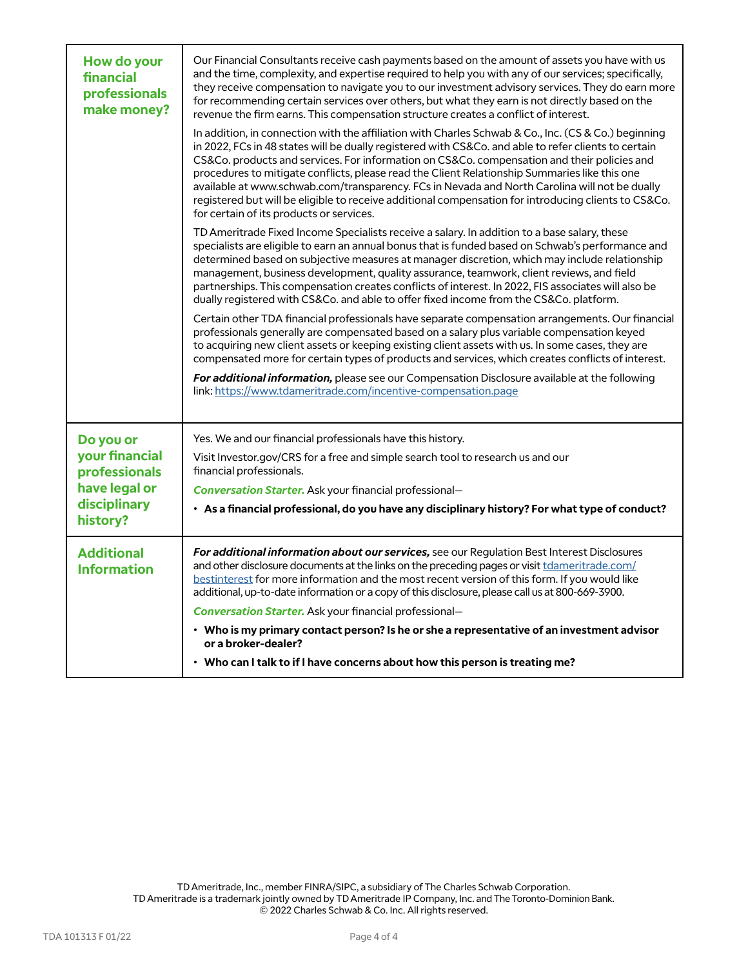| How do your<br>financial<br>professionals<br>make money?                     | Our Financial Consultants receive cash payments based on the amount of assets you have with us<br>and the time, complexity, and expertise required to help you with any of our services; specifically,<br>they receive compensation to navigate you to our investment advisory services. They do earn more<br>for recommending certain services over others, but what they earn is not directly based on the<br>revenue the firm earns. This compensation structure creates a conflict of interest.<br>In addition, in connection with the affiliation with Charles Schwab & Co., Inc. (CS & Co.) beginning<br>in 2022, FCs in 48 states will be dually registered with CS&Co. and able to refer clients to certain<br>CS&Co. products and services. For information on CS&Co. compensation and their policies and<br>procedures to mitigate conflicts, please read the Client Relationship Summaries like this one<br>available at www.schwab.com/transparency. FCs in Nevada and North Carolina will not be dually<br>registered but will be eligible to receive additional compensation for introducing clients to CS&Co.<br>for certain of its products or services. |  |
|------------------------------------------------------------------------------|--------------------------------------------------------------------------------------------------------------------------------------------------------------------------------------------------------------------------------------------------------------------------------------------------------------------------------------------------------------------------------------------------------------------------------------------------------------------------------------------------------------------------------------------------------------------------------------------------------------------------------------------------------------------------------------------------------------------------------------------------------------------------------------------------------------------------------------------------------------------------------------------------------------------------------------------------------------------------------------------------------------------------------------------------------------------------------------------------------------------------------------------------------------------------|--|
|                                                                              | TD Ameritrade Fixed Income Specialists receive a salary. In addition to a base salary, these<br>specialists are eligible to earn an annual bonus that is funded based on Schwab's performance and<br>determined based on subjective measures at manager discretion, which may include relationship<br>management, business development, quality assurance, teamwork, client reviews, and field<br>partnerships. This compensation creates conflicts of interest. In 2022, FIS associates will also be<br>dually registered with CS&Co. and able to offer fixed income from the CS&Co. platform.                                                                                                                                                                                                                                                                                                                                                                                                                                                                                                                                                                          |  |
|                                                                              | Certain other TDA financial professionals have separate compensation arrangements. Our financial<br>professionals generally are compensated based on a salary plus variable compensation keyed<br>to acquiring new client assets or keeping existing client assets with us. In some cases, they are<br>compensated more for certain types of products and services, which creates conflicts of interest.                                                                                                                                                                                                                                                                                                                                                                                                                                                                                                                                                                                                                                                                                                                                                                 |  |
|                                                                              | <b>For additional information,</b> please see our Compensation Disclosure available at the following<br>link: https://www.tdameritrade.com/incentive-compensation.page                                                                                                                                                                                                                                                                                                                                                                                                                                                                                                                                                                                                                                                                                                                                                                                                                                                                                                                                                                                                   |  |
| Do you or                                                                    | Yes. We and our financial professionals have this history.                                                                                                                                                                                                                                                                                                                                                                                                                                                                                                                                                                                                                                                                                                                                                                                                                                                                                                                                                                                                                                                                                                               |  |
| your financial<br>professionals<br>have legal or<br>disciplinary<br>history? | Visit Investor.gov/CRS for a free and simple search tool to research us and our<br>financial professionals.                                                                                                                                                                                                                                                                                                                                                                                                                                                                                                                                                                                                                                                                                                                                                                                                                                                                                                                                                                                                                                                              |  |
|                                                                              | <b>Conversation Starter.</b> Ask your financial professional-                                                                                                                                                                                                                                                                                                                                                                                                                                                                                                                                                                                                                                                                                                                                                                                                                                                                                                                                                                                                                                                                                                            |  |
|                                                                              | • As a financial professional, do you have any disciplinary history? For what type of conduct?                                                                                                                                                                                                                                                                                                                                                                                                                                                                                                                                                                                                                                                                                                                                                                                                                                                                                                                                                                                                                                                                           |  |
| <b>Additional</b><br><b>Information</b>                                      | For additional information about our services, see our Regulation Best Interest Disclosures<br>and other disclosure documents at the links on the preceding pages or visit tdameritrade.com/<br>bestinterest for more information and the most recent version of this form. If you would like<br>additional, up-to-date information or a copy of this disclosure, please call us at 800-669-3900.<br><b>Conversation Starter.</b> Ask your financial professional-                                                                                                                                                                                                                                                                                                                                                                                                                                                                                                                                                                                                                                                                                                       |  |
|                                                                              | • Who is my primary contact person? Is he or she a representative of an investment advisor                                                                                                                                                                                                                                                                                                                                                                                                                                                                                                                                                                                                                                                                                                                                                                                                                                                                                                                                                                                                                                                                               |  |
|                                                                              | or a broker-dealer?                                                                                                                                                                                                                                                                                                                                                                                                                                                                                                                                                                                                                                                                                                                                                                                                                                                                                                                                                                                                                                                                                                                                                      |  |
|                                                                              | • Who can I talk to if I have concerns about how this person is treating me?                                                                                                                                                                                                                                                                                                                                                                                                                                                                                                                                                                                                                                                                                                                                                                                                                                                                                                                                                                                                                                                                                             |  |